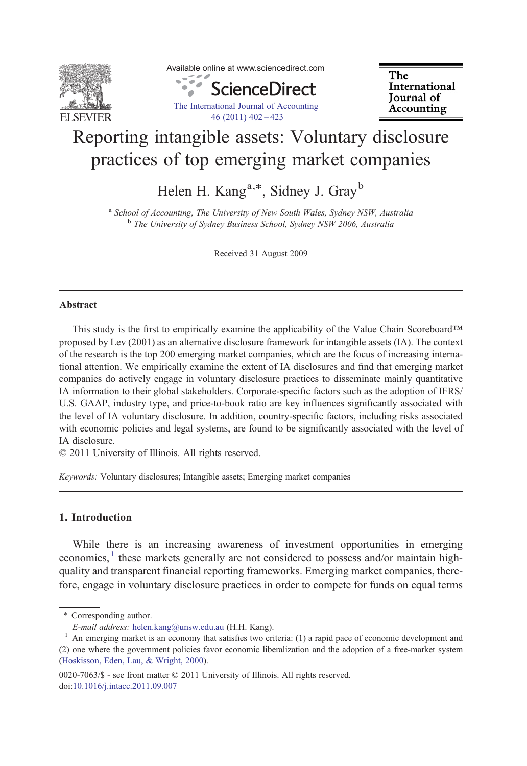

Available online at www.sciencedirect.com

ScienceDirect [The International Journal of Accounting](http://dx.doi.org/10.1016/j.intacc.2011.09.007) [46 \(2011\) 402](http://dx.doi.org/10.1016/j.intacc.2011.09.007)–423

The International Journal of Accounting

## Reporting intangible assets: Voluntary disclosure practices of top emerging market companies

Helen H. Kang<sup>a,\*</sup>, Sidney J. Gray<sup>b</sup>

<sup>a</sup> School of Accounting, The University of New South Wales, Sydney NSW, Australia <sup>b</sup> The University of Sydney Business School, Sydney NSW 2006, Australia

Received 31 August 2009

## Abstract

This study is the first to empirically examine the applicability of the Value Chain Scoreboard™ proposed by Lev (2001) as an alternative disclosure framework for intangible assets (IA). The context of the research is the top 200 emerging market companies, which are the focus of increasing international attention. We empirically examine the extent of IA disclosures and find that emerging market companies do actively engage in voluntary disclosure practices to disseminate mainly quantitative IA information to their global stakeholders. Corporate-specific factors such as the adoption of IFRS/ U.S. GAAP, industry type, and price-to-book ratio are key influences significantly associated with the level of IA voluntary disclosure. In addition, country-specific factors, including risks associated with economic policies and legal systems, are found to be significantly associated with the level of IA disclosure.

© 2011 University of Illinois. All rights reserved.

Keywords: Voluntary disclosures; Intangible assets; Emerging market companies

## 1. Introduction

While there is an increasing awareness of investment opportunities in emerging economies, $<sup>1</sup>$  these markets generally are not considered to possess and/or maintain high-</sup> quality and transparent financial reporting frameworks. Emerging market companies, therefore, engage in voluntary disclosure practices in order to compete for funds on equal terms

<sup>⁎</sup> Corresponding author.

E-mail address: [helen.kang@unsw.edu.au](mailto:helen.kang@unsw.edu.au) (H.H. Kang).<br><sup>1</sup> An emerging market is an economy that satisfies two criteria: (1) a rapid pace of economic development and (2) one where the government policies favor economic liberalization and the adoption of a free-market system [\(Hoskisson, Eden, Lau, & Wright, 2000\)](#page--1-0).

<sup>0020-7063/\$ -</sup> see front matter © 2011 University of Illinois. All rights reserved. doi:[10.1016/j.intacc.2011.09.007](http://dx.doi.org/10.1016/j.intacc.2011.09.007)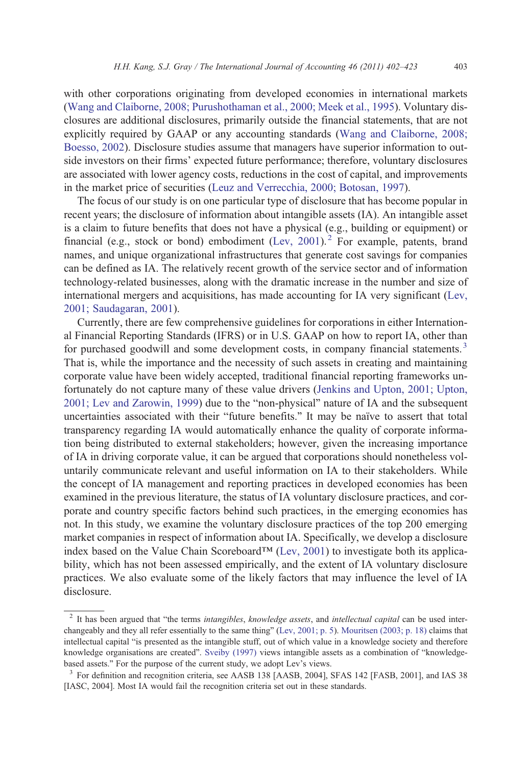with other corporations originating from developed economies in international markets ([Wang and Claiborne, 2008; Purushothaman et al., 2000; Meek et al., 1995](#page--1-0)). Voluntary disclosures are additional disclosures, primarily outside the financial statements, that are not explicitly required by GAAP or any accounting standards [\(Wang and Claiborne, 2008;](#page--1-0) [Boesso, 2002](#page--1-0)). Disclosure studies assume that managers have superior information to outside investors on their firms' expected future performance; therefore, voluntary disclosures are associated with lower agency costs, reductions in the cost of capital, and improvements in the market price of securities [\(Leuz and Verrecchia, 2000; Botosan, 1997](#page--1-0)).

The focus of our study is on one particular type of disclosure that has become popular in recent years; the disclosure of information about intangible assets (IA). An intangible asset is a claim to future benefits that does not have a physical (e.g., building or equipment) or financial (e.g., stock or bond) embodiment [\(Lev, 2001\)](#page--1-0).<sup>2</sup> For example, patents, brand names, and unique organizational infrastructures that generate cost savings for companies can be defined as IA. The relatively recent growth of the service sector and of information technology-related businesses, along with the dramatic increase in the number and size of international mergers and acquisitions, has made accounting for IA very significant [\(Lev,](#page--1-0) [2001; Saudagaran, 2001\)](#page--1-0).

Currently, there are few comprehensive guidelines for corporations in either International Financial Reporting Standards (IFRS) or in U.S. GAAP on how to report IA, other than for purchased goodwill and some development costs, in company financial statements.<sup>3</sup> That is, while the importance and the necessity of such assets in creating and maintaining corporate value have been widely accepted, traditional financial reporting frameworks unfortunately do not capture many of these value drivers ([Jenkins and Upton, 2001; Upton,](#page--1-0) [2001; Lev and Zarowin, 1999](#page--1-0)) due to the "non-physical" nature of IA and the subsequent uncertainties associated with their "future benefits." It may be naïve to assert that total transparency regarding IA would automatically enhance the quality of corporate information being distributed to external stakeholders; however, given the increasing importance of IA in driving corporate value, it can be argued that corporations should nonetheless voluntarily communicate relevant and useful information on IA to their stakeholders. While the concept of IA management and reporting practices in developed economies has been examined in the previous literature, the status of IA voluntary disclosure practices, and corporate and country specific factors behind such practices, in the emerging economies has not. In this study, we examine the voluntary disclosure practices of the top 200 emerging market companies in respect of information about IA. Specifically, we develop a disclosure index based on the Value Chain Scoreboard<sup>™</sup> [\(Lev, 2001](#page--1-0)) to investigate both its applicability, which has not been assessed empirically, and the extent of IA voluntary disclosure practices. We also evaluate some of the likely factors that may influence the level of IA disclosure.

<sup>&</sup>lt;sup>2</sup> It has been argued that "the terms intangibles, knowledge assets, and intellectual capital can be used interchangeably and they all refer essentially to the same thing" ([Lev, 2001; p. 5\)](#page--1-0). [Mouritsen \(2003; p. 18\)](#page--1-0) claims that intellectual capital "is presented as the intangible stuff, out of which value in a knowledge society and therefore knowledge organisations are created". [Sveiby \(1997\)](#page--1-0) views intangible assets as a combination of "knowledgebased assets." For the purpose of the current study, we adopt Lev's views.<br><sup>3</sup> For definition and recognition criteria, see AASB 138 [AASB, 2004], SFAS 142 [FASB, 2001], and IAS 38

<sup>[</sup>IASC, 2004]. Most IA would fail the recognition criteria set out in these standards.